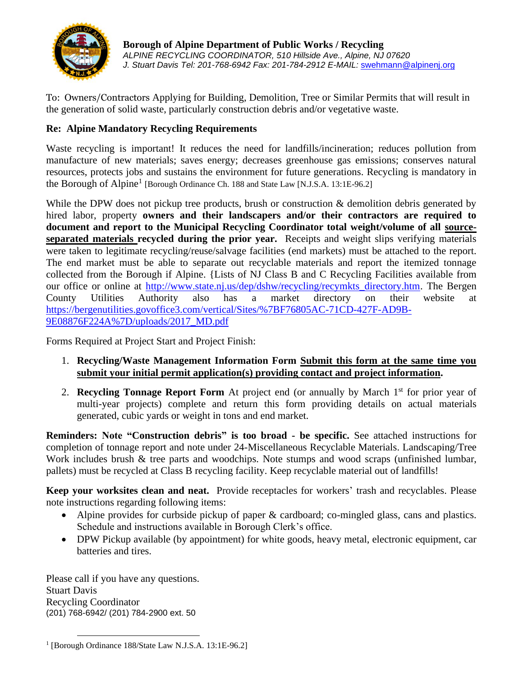

**Borough of Alpine Department of Public Works / Recycling** *ALPINE RECYCLING COORDINATOR, 510 Hillside Ave., Alpine, NJ 07620 J. Stuart Davis Tel: 201-768-6942 Fax: 201-784-2912 E-MAIL:* [swehmann@alpinenj.org](mailto:swehmann@alpinenj.org)

To: Owners/Contractors Applying for Building, Demolition, Tree or Similar Permits that will result in the generation of solid waste, particularly construction debris and/or vegetative waste.

# **Re: Alpine Mandatory Recycling Requirements**

Waste recycling is important! It reduces the need for landfills/incineration; reduces pollution from manufacture of new materials; saves energy; decreases greenhouse gas emissions; conserves natural resources, protects jobs and sustains the environment for future generations. Recycling is mandatory in the Borough of Alpine<sup>1</sup> [Borough Ordinance Ch. 188 and State Law [N.J.S.A. 13:1E-96.2]

While the DPW does not pickup tree products, brush or construction & demolition debris generated by hired labor, property **owners and their landscapers and/or their contractors are required to document and report to the Municipal Recycling Coordinator total weight/volume of all sourceseparated materials recycled during the prior year.** Receipts and weight slips verifying materials were taken to legitimate recycling/reuse/salvage facilities (end markets) must be attached to the report. The end market must be able to separate out recyclable materials and report the itemized tonnage collected from the Borough if Alpine. {Lists of NJ Class B and C Recycling Facilities available from our office or online at [http://www.state.nj.us/dep/dshw/recycling/recymkts\\_directory.htm.](http://www.state.nj.us/dep/dshw/recycling/recymkts_directory.htm) The Bergen County Utilities Authority also has a market directory on their website at [https://bergenutilities.govoffice3.com/vertical/Sites/%7BF76805AC-71CD-427F-AD9B-](https://bergenutilities.govoffice3.com/vertical/Sites/%7BF76805AC-71CD-427F-AD9B-9E08876F224A%7D/uploads/2017_MD.pdf)[9E08876F224A%7D/uploads/2017\\_MD.pdf](https://bergenutilities.govoffice3.com/vertical/Sites/%7BF76805AC-71CD-427F-AD9B-9E08876F224A%7D/uploads/2017_MD.pdf)

Forms Required at Project Start and Project Finish:

- 1. **Recycling/Waste Management Information Form Submit this form at the same time you submit your initial permit application(s) providing contact and project information.**
- 2. **Recycling Tonnage Report Form** At project end (or annually by March 1<sup>st</sup> for prior year of multi-year projects) complete and return this form providing details on actual materials generated, cubic yards or weight in tons and end market.

**Reminders: Note "Construction debris" is too broad - be specific.** See attached instructions for completion of tonnage report and note under 24-Miscellaneous Recyclable Materials. Landscaping/Tree Work includes brush & tree parts and woodchips. Note stumps and wood scraps (unfinished lumbar, pallets) must be recycled at Class B recycling facility. Keep recyclable material out of landfills!

**Keep your worksites clean and neat.** Provide receptacles for workers' trash and recyclables. Please note instructions regarding following items:

- Alpine provides for curbside pickup of paper & cardboard; co-mingled glass, cans and plastics. Schedule and instructions available in Borough Clerk's office.
- DPW Pickup available (by appointment) for white goods, heavy metal, electronic equipment, car batteries and tires.

Please call if you have any questions. Stuart Davis Recycling Coordinator (201) 768-6942/ (201) 784-2900 ext. 50

<sup>&</sup>lt;sup>1</sup> [Borough Ordinance 188/State Law N.J.S.A. 13:1E-96.2]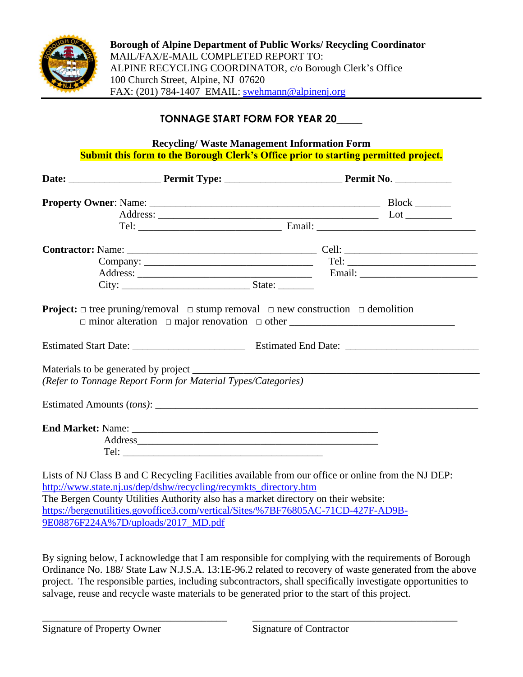

**Borough of Alpine Department of Public Works/ Recycling Coordinator** MAIL/FAX/E-MAIL COMPLETED REPORT TO: ALPINE RECYCLING COORDINATOR, c/o Borough Clerk's Office 100 Church Street, Alpine, NJ 07620 FAX: (201) 784-1407 EMAIL: [swehmann@alpinenj.org](mailto:swehmann@alpinenj.org)

# **TONNAGE START FORM FOR YEAR 20\_\_\_\_\_**

**Recycling/ Waste Management Information Form Submit this form to the Borough Clerk's Office prior to starting permitted project.**

| (Refer to Tonnage Report Form for Material Types/Categories)                                                                                                            |  |
|-------------------------------------------------------------------------------------------------------------------------------------------------------------------------|--|
|                                                                                                                                                                         |  |
|                                                                                                                                                                         |  |
| Address                                                                                                                                                                 |  |
|                                                                                                                                                                         |  |
| Lists of NJ Class B and C Recycling Facilities available from our office or online from the NJ DEP:<br>http://www.state.nj.us/dep/dshw/recycling/recymkts_directory.htm |  |

The Bergen County Utilities Authority also has a market directory on their website: [https://bergenutilities.govoffice3.com/vertical/Sites/%7BF76805AC-71CD-427F-AD9B-](https://bergenutilities.govoffice3.com/vertical/Sites/%7BF76805AC-71CD-427F-AD9B-9E08876F224A%7D/uploads/2017_MD.pdf)[9E08876F224A%7D/uploads/2017\\_MD.pdf](https://bergenutilities.govoffice3.com/vertical/Sites/%7BF76805AC-71CD-427F-AD9B-9E08876F224A%7D/uploads/2017_MD.pdf)

By signing below, I acknowledge that I am responsible for complying with the requirements of Borough Ordinance No. 188/ State Law N.J.S.A. 13:1E-96.2 related to recovery of waste generated from the above project. The responsible parties, including subcontractors, shall specifically investigate opportunities to salvage, reuse and recycle waste materials to be generated prior to the start of this project.

\_\_\_\_\_\_\_\_\_\_\_\_\_\_\_\_\_\_\_\_\_\_\_\_\_\_\_\_\_\_\_\_\_\_\_\_ \_\_\_\_\_\_\_\_\_\_\_\_\_\_\_\_\_\_\_\_\_\_\_\_\_\_\_\_\_\_\_\_\_\_\_\_\_\_\_\_

Signature of Property Owner Signature of Contractor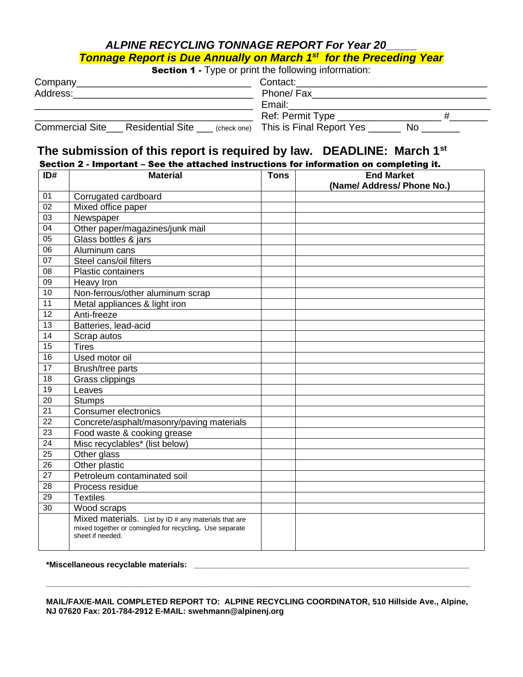# *ALPINE RECYCLING TONNAGE REPORT For Year 20\_\_\_\_\_ Tonnage Report is Due Annually on March 1st for the Preceding Year*

**Section 1 - Type or print the following information:** 

| Company                                           | Contact:                                            |  |  |
|---------------------------------------------------|-----------------------------------------------------|--|--|
| Address:                                          | Phone/ Fax                                          |  |  |
|                                                   | Email:                                              |  |  |
|                                                   | Ref: Permit Type                                    |  |  |
| <b>Commercial Site</b><br><b>Residential Site</b> | $\left($ (check one) This is Final Report Yes<br>Nο |  |  |

# **The submission of this report is required by law. DEADLINE: March 1st**

Section 2 - Important – See the attached instructions for information on completing it.

| ID#             | <b>Material</b>                                                                                                                     | <b>Tons</b> | <b>End Market</b>          |
|-----------------|-------------------------------------------------------------------------------------------------------------------------------------|-------------|----------------------------|
|                 |                                                                                                                                     |             | (Name/ Address/ Phone No.) |
| 01              | Corrugated cardboard                                                                                                                |             |                            |
| 02              | Mixed office paper                                                                                                                  |             |                            |
| 03              | Newspaper                                                                                                                           |             |                            |
| 04              | Other paper/magazines/junk mail                                                                                                     |             |                            |
| $\overline{05}$ | Glass bottles & jars                                                                                                                |             |                            |
| 06              | Aluminum cans                                                                                                                       |             |                            |
| 07              | Steel cans/oil filters                                                                                                              |             |                            |
| 08              | Plastic containers                                                                                                                  |             |                            |
| 09              | Heavy Iron                                                                                                                          |             |                            |
| 10              | Non-ferrous/other aluminum scrap                                                                                                    |             |                            |
| 11              | Metal appliances & light iron                                                                                                       |             |                            |
| $\overline{12}$ | Anti-freeze                                                                                                                         |             |                            |
| $\overline{13}$ | Batteries, lead-acid                                                                                                                |             |                            |
| 14              | Scrap autos                                                                                                                         |             |                            |
| 15              | <b>Tires</b>                                                                                                                        |             |                            |
| 16              | Used motor oil                                                                                                                      |             |                            |
| $\overline{17}$ | Brush/tree parts                                                                                                                    |             |                            |
| 18              | Grass clippings                                                                                                                     |             |                            |
| 19              | Leaves                                                                                                                              |             |                            |
| 20              | <b>Stumps</b>                                                                                                                       |             |                            |
| $\overline{21}$ | <b>Consumer electronics</b>                                                                                                         |             |                            |
| 22              | Concrete/asphalt/masonry/paving materials                                                                                           |             |                            |
| $\overline{23}$ | Food waste & cooking grease                                                                                                         |             |                            |
| 24              | Misc recyclables* (list below)                                                                                                      |             |                            |
| $\overline{25}$ | Other glass                                                                                                                         |             |                            |
| 26              | Other plastic                                                                                                                       |             |                            |
| $\overline{27}$ | Petroleum contaminated soil                                                                                                         |             |                            |
| 28              | Process residue                                                                                                                     |             |                            |
| $\overline{29}$ | Textiles                                                                                                                            |             |                            |
| 30              | Wood scraps                                                                                                                         |             |                            |
|                 | Mixed materials. List by ID # any materials that are<br>mixed together or comingled for recycling. Use separate<br>sheet if needed. |             |                            |

# **\*Miscellaneous recyclable materials: \_\_\_\_\_\_\_\_\_\_\_\_\_\_\_\_\_\_\_\_\_\_\_\_\_\_\_\_\_\_\_\_\_\_\_\_\_\_\_\_\_\_\_\_\_\_\_\_\_\_\_\_\_\_\_\_\_\_\_\_\_**

## **MAIL/FAX/E-MAIL COMPLETED REPORT TO: ALPINE RECYCLING COORDINATOR, 510 Hillside Ave., Alpine, NJ 07620 Fax: 201-784-2912 E-MAIL: swehmann@alpinenj.org**

**\_\_\_\_\_\_\_\_\_\_\_\_\_\_\_\_\_\_\_\_\_\_\_\_\_\_\_\_\_\_\_\_\_\_\_\_\_\_\_\_\_\_\_\_\_\_\_\_\_\_\_\_\_\_\_\_\_\_\_\_\_\_\_\_\_\_\_\_\_\_\_\_\_\_\_\_\_\_\_\_\_\_\_\_\_\_\_\_\_\_\_\_\_\_**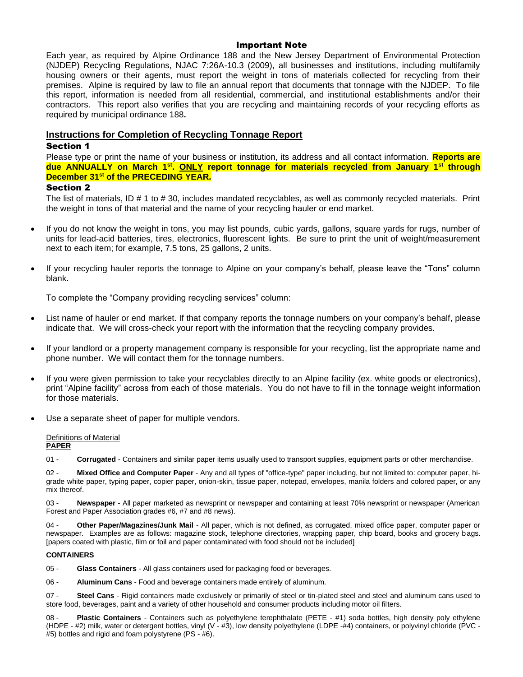## Important Note

Each year, as required by Alpine Ordinance 188 and the New Jersey Department of Environmental Protection (NJDEP) Recycling Regulations, NJAC 7:26A-10.3 (2009), all businesses and institutions, including multifamily housing owners or their agents, must report the weight in tons of materials collected for recycling from their premises. Alpine is required by law to file an annual report that documents that tonnage with the NJDEP. To file this report, information is needed from all residential, commercial, and institutional establishments and/or their contractors. This report also verifies that you are recycling and maintaining records of your recycling efforts as required by municipal ordinance 188**.**

## **Instructions for Completion of Recycling Tonnage Report**

### Section 1

Please type or print the name of your business or institution, its address and all contact information. **Reports are due ANNUALLY on March 1st . ONLY report tonnage for materials recycled from January 1st through December 31st of the PRECEDING YEAR.**

### Section 2

The list of materials, ID # 1 to # 30, includes mandated recyclables, as well as commonly recycled materials. Print the weight in tons of that material and the name of your recycling hauler or end market.

- If you do not know the weight in tons, you may list pounds, cubic yards, gallons, square yards for rugs, number of units for lead-acid batteries, tires, electronics, fluorescent lights. Be sure to print the unit of weight/measurement next to each item; for example, 7.5 tons, 25 gallons, 2 units.
- If your recycling hauler reports the tonnage to Alpine on your company's behalf, please leave the "Tons" column blank.

To complete the "Company providing recycling services" column:

- List name of hauler or end market. If that company reports the tonnage numbers on your company's behalf, please indicate that. We will cross-check your report with the information that the recycling company provides.
- If your landlord or a property management company is responsible for your recycling, list the appropriate name and phone number. We will contact them for the tonnage numbers.
- If you were given permission to take your recyclables directly to an Alpine facility (ex. white goods or electronics), print "Alpine facility" across from each of those materials. You do not have to fill in the tonnage weight information for those materials.
- Use a separate sheet of paper for multiple vendors.

#### Definitions of Material **PAPER**

01 - **Corrugated** - Containers and similar paper items usually used to transport supplies, equipment parts or other merchandise.

02 - **Mixed Office and Computer Paper** - Any and all types of "office-type" paper including, but not limited to: computer paper, higrade white paper, typing paper, copier paper, onion-skin, tissue paper, notepad, envelopes, manila folders and colored paper, or any mix thereof.

03 - **Newspaper** - All paper marketed as newsprint or newspaper and containing at least 70% newsprint or newspaper (American Forest and Paper Association grades #6, #7 and #8 news).

04 - **Other Paper/Magazines/Junk Mail** - All paper, which is not defined, as corrugated, mixed office paper, computer paper or newspaper. Examples are as follows: magazine stock, telephone directories, wrapping paper, chip board, books and grocery bags. [papers coated with plastic, film or foil and paper contaminated with food should not be included]

#### **CONTAINERS**

05 - **Glass Containers** - All glass containers used for packaging food or beverages.

06 - **Aluminum Cans** - Food and beverage containers made entirely of aluminum.

07 - **Steel Cans** - Rigid containers made exclusively or primarily of steel or tin-plated steel and steel and aluminum cans used to store food, beverages, paint and a variety of other household and consumer products including motor oil filters.

08 - **Plastic Containers** - Containers such as polyethylene terephthalate (PETE - #1) soda bottles, high density poly ethylene (HDPE - #2) milk, water or detergent bottles, vinyl (V - #3), low density polyethylene (LDPE -#4) containers, or polyvinyl chloride (PVC - #5) bottles and rigid and foam polystyrene (PS - #6).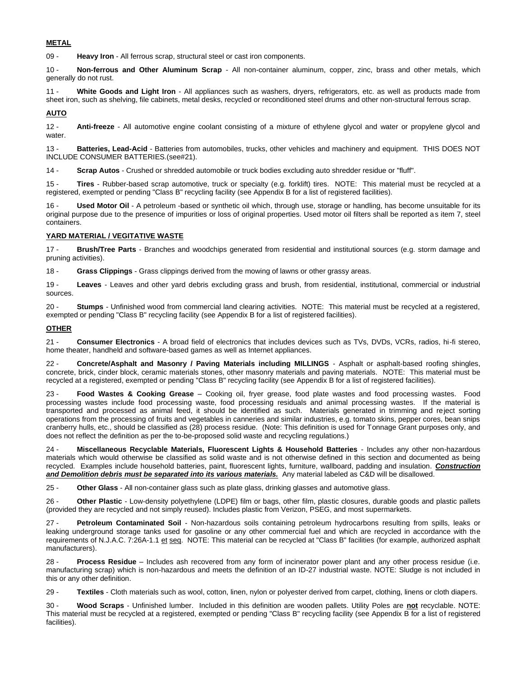#### **METAL**

09 - **Heavy Iron** - All ferrous scrap, structural steel or cast iron components.

10 - **Non-ferrous and Other Aluminum Scrap** - All non-container aluminum, copper, zinc, brass and other metals, which generally do not rust.

11 - **White Goods and Light Iron** - All appliances such as washers, dryers, refrigerators, etc. as well as products made from sheet iron, such as shelving, file cabinets, metal desks, recycled or reconditioned steel drums and other non-structural ferrous scrap.

#### **AUTO**

12 - **Anti-freeze** - All automotive engine coolant consisting of a mixture of ethylene glycol and water or propylene glycol and water.

13 - **Batteries, Lead-Acid** - Batteries from automobiles, trucks, other vehicles and machinery and equipment. THIS DOES NOT INCLUDE CONSUMER BATTERIES.(see#21).

14 - **Scrap Autos** - Crushed or shredded automobile or truck bodies excluding auto shredder residue or "fluff".

15 - **Tires** - Rubber-based scrap automotive, truck or specialty (e.g. forklift) tires. NOTE: This material must be recycled at a registered, exempted or pending "Class B" recycling facility (see Appendix B for a list of registered facilities).

16 - **Used Motor Oil** - A petroleum -based or synthetic oil which, through use, storage or handling, has become unsuitable for its original purpose due to the presence of impurities or loss of original properties. Used motor oil filters shall be reported as item 7, steel containers.

#### **YARD MATERIAL / VEGITATIVE WASTE**

17 - **Brush/Tree Parts** - Branches and woodchips generated from residential and institutional sources (e.g. storm damage and pruning activities).

18 - **Grass Clippings** - Grass clippings derived from the mowing of lawns or other grassy areas.

19 - **Leaves** - Leaves and other yard debris excluding grass and brush, from residential, institutional, commercial or industrial sources.

20 - **Stumps** - Unfinished wood from commercial land clearing activities. NOTE: This material must be recycled at a registered, exempted or pending "Class B" recycling facility (see Appendix B for a list of registered facilities).

#### **OTHER**

21 - **Consumer Electronics** - A broad field of electronics that includes devices such as TVs, DVDs, VCRs, radios, hi-fi stereo, home theater, handheld and software-based games as well as Internet appliances.

22 - **Concrete/Asphalt and Masonry / Paving Materials including MILLINGS** - Asphalt or asphalt-based roofing shingles, concrete, brick, cinder block, ceramic materials stones, other masonry materials and paving materials. NOTE: This material must be recycled at a registered, exempted or pending "Class B" recycling facility (see Appendix B for a list of registered facilities).

23 - **Food Wastes & Cooking Grease** – Cooking oil, fryer grease, food plate wastes and food processing wastes. Food processing wastes include food processing waste, food processing residuals and animal processing wastes. If the material is transported and processed as animal feed, it should be identified as such. Materials generated in trimming and reject sorting operations from the processing of fruits and vegetables in canneries and similar industries, e.g. tomato skins, pepper cores, bean snips cranberry hulls, etc., should be classified as (28) process residue. (Note: This definition is used for Tonnage Grant purposes only, and does not reflect the definition as per the to-be-proposed solid waste and recycling regulations.)

24 - **Miscellaneous Recyclable Materials, Fluorescent Lights & Household Batteries** - Includes any other non-hazardous materials which would otherwise be classified as solid waste and is not otherwise defined in this section and documented as being recycled. Examples include household batteries, paint, fluorescent lights, furniture, wallboard, padding and insulation. *Construction and Demolition debris must be separated into its various materials.* Any material labeled as C&D will be disallowed.

25 - **Other Glass** - All non-container glass such as plate glass, drinking glasses and automotive glass.

26 - **Other Plastic** - Low-density polyethylene (LDPE) film or bags, other film, plastic closures, durable goods and plastic pallets (provided they are recycled and not simply reused). Includes plastic from Verizon, PSEG, and most supermarkets.

27 - **Petroleum Contaminated Soil** - Non-hazardous soils containing petroleum hydrocarbons resulting from spills, leaks or leaking underground storage tanks used for gasoline or any other commercial fuel and which are recycled in accordance with the requirements of N.J.A.C. 7:26A-1.1 et seq. NOTE: This material can be recycled at "Class B" facilities (for example, authorized asphalt manufacturers).

28 - **Process Residue** – Includes ash recovered from any form of incinerator power plant and any other process residue (i.e. manufacturing scrap) which is non-hazardous and meets the definition of an ID-27 industrial waste. NOTE: Sludge is not included in this or any other definition.

29 - **Textiles** - Cloth materials such as wool, cotton, linen, nylon or polyester derived from carpet, clothing, linens or cloth diapers.

30 - **Wood Scraps** - Unfinished lumber. Included in this definition are wooden pallets. Utility Poles are **not** recyclable. NOTE: This material must be recycled at a registered, exempted or pending "Class B" recycling facility (see Appendix B for a list of registered facilities).